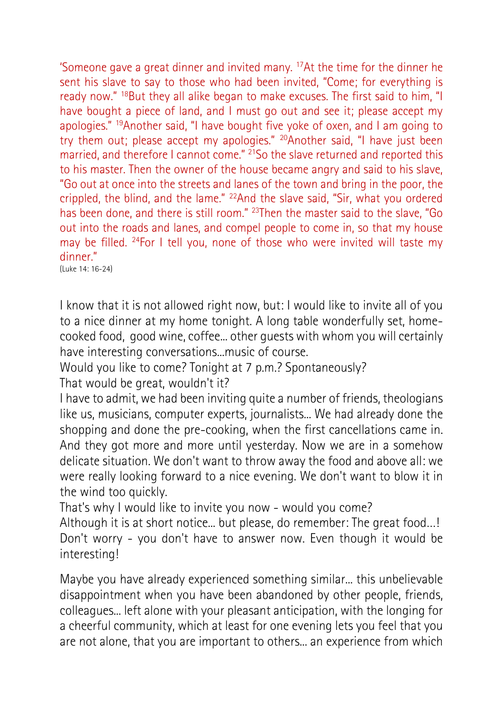'Someone gave a great dinner and invited many. <sup>17</sup>At the time for the dinner he sent his slave to say to those who had been invited, "Come; for everything is ready now." <sup>18</sup>But they all alike began to make excuses. The first said to him, "I have bought a piece of land, and I must go out and see it; please accept my apologies." <sup>19</sup>Another said, "I have bought five yoke of oxen, and I am going to try them out; please accept my apologies." <sup>20</sup>Another said, "I have just been married, and therefore I cannot come." <sup>21</sup>So the slave returned and reported this to his master. Then the owner of the house became angry and said to his slave, "Go out at once into the streets and lanes of the town and bring in the poor, the crippled, the blind, and the lame." <sup>22</sup>And the slave said, "Sir, what you ordered has been done, and there is still room." <sup>23</sup>Then the master said to the slave, "Go out into the roads and lanes, and compel people to come in, so that my house may be filled. <sup>24</sup>For I tell you, none of those who were invited will taste my dinner."

(Luke 14: 16-24)

I know that it is not allowed right now, but: I would like to invite all of you to a nice dinner at my home tonight. A long table wonderfully set, homecooked food, good wine, coffee... other guests with whom you will certainly have interesting conversations...music of course.

Would you like to come? Tonight at 7 p.m.? Spontaneously?

That would be great, wouldn't it?

I have to admit, we had been inviting quite a number of friends, theologians like us, musicians, computer experts, journalists... We had already done the shopping and done the pre-cooking, when the first cancellations came in. And they got more and more until yesterday. Now we are in a somehow delicate situation. We don't want to throw away the food and above all: we were really looking forward to a nice evening. We don't want to blow it in the wind too quickly.

That's why I would like to invite you now - would you come?

Although it is at short notice... but please, do remember: The great food…! Don't worry - you don't have to answer now. Even though it would be interesting!

Maybe you have already experienced something similar... this unbelievable disappointment when you have been abandoned by other people, friends, colleagues... left alone with your pleasant anticipation, with the longing for a cheerful community, which at least for one evening lets you feel that you are not alone, that you are important to others... an experience from which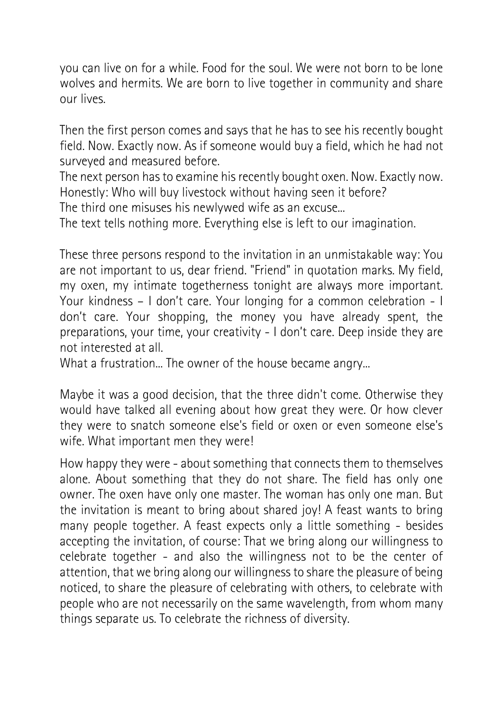you can live on for a while. Food for the soul. We were not born to be lone wolves and hermits. We are born to live together in community and share our lives.

Then the first person comes and says that he has to see his recently bought field. Now. Exactly now. As if someone would buy a field, which he had not surveyed and measured before.

The next person has to examine his recently bought oxen. Now. Exactly now. Honestly: Who will buy livestock without having seen it before?

The third one misuses his newlywed wife as an excuse...

The text tells nothing more. Everything else is left to our imagination.

These three persons respond to the invitation in an unmistakable way: You are not important to us, dear friend. "Friend" in quotation marks. My field, my oxen, my intimate togetherness tonight are always more important. Your kindness – I don't care. Your longing for a common celebration - I don't care. Your shopping, the money you have already spent, the preparations, your time, your creativity - I don't care. Deep inside they are not interested at all.

What a frustration... The owner of the house became angry...

Maybe it was a good decision, that the three didn't come. Otherwise they would have talked all evening about how great they were. Or how clever they were to snatch someone else's field or oxen or even someone else's wife. What important men they were!

How happy they were - about something that connects them to themselves alone. About something that they do not share. The field has only one owner. The oxen have only one master. The woman has only one man. But the invitation is meant to bring about shared joy! A feast wants to bring many people together. A feast expects only a little something - besides accepting the invitation, of course: That we bring along our willingness to celebrate together - and also the willingness not to be the center of attention, that we bring along our willingness to share the pleasure of being noticed, to share the pleasure of celebrating with others, to celebrate with people who are not necessarily on the same wavelength, from whom many things separate us. To celebrate the richness of diversity.